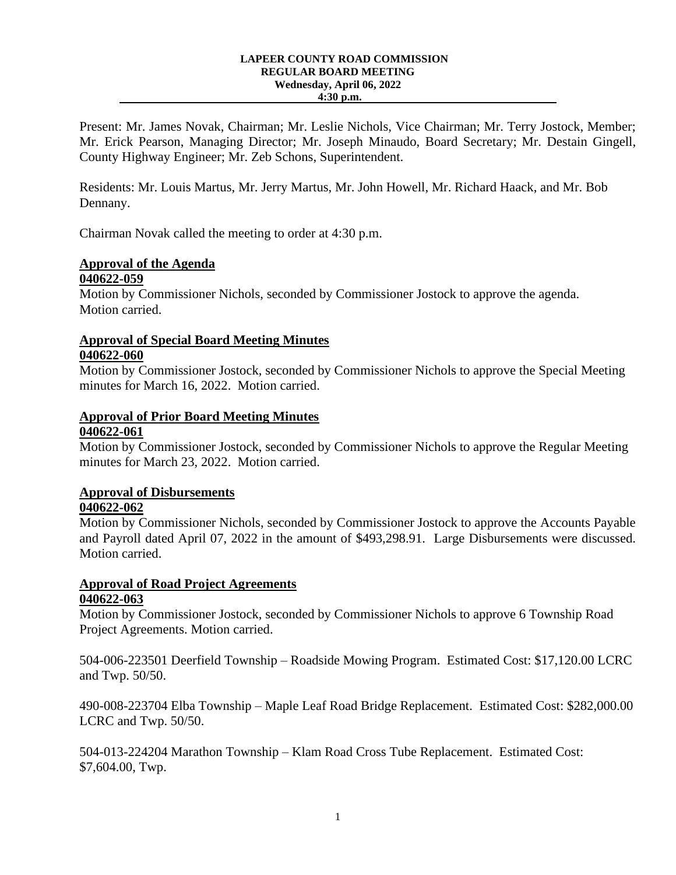#### **LAPEER COUNTY ROAD COMMISSION REGULAR BOARD MEETING Wednesday, April 06, 2022 4:30 p.m.**

Present: Mr. James Novak, Chairman; Mr. Leslie Nichols, Vice Chairman; Mr. Terry Jostock, Member; Mr. Erick Pearson, Managing Director; Mr. Joseph Minaudo, Board Secretary; Mr. Destain Gingell, County Highway Engineer; Mr. Zeb Schons, Superintendent.

Residents: Mr. Louis Martus, Mr. Jerry Martus, Mr. John Howell, Mr. Richard Haack, and Mr. Bob Dennany.

Chairman Novak called the meeting to order at 4:30 p.m.

#### **Approval of the Agenda 040622-059**

Motion by Commissioner Nichols, seconded by Commissioner Jostock to approve the agenda. Motion carried.

### **Approval of Special Board Meeting Minutes 040622-060**

Motion by Commissioner Jostock, seconded by Commissioner Nichols to approve the Special Meeting minutes for March 16, 2022. Motion carried.

## **Approval of Prior Board Meeting Minutes 040622-061**

Motion by Commissioner Jostock, seconded by Commissioner Nichols to approve the Regular Meeting minutes for March 23, 2022. Motion carried.

# **Approval of Disbursements**

### **040622-062**

Motion by Commissioner Nichols, seconded by Commissioner Jostock to approve the Accounts Payable and Payroll dated April 07, 2022 in the amount of \$493,298.91. Large Disbursements were discussed. Motion carried.

# **Approval of Road Project Agreements 040622-063**

Motion by Commissioner Jostock, seconded by Commissioner Nichols to approve 6 Township Road Project Agreements. Motion carried.

504-006-223501 Deerfield Township – Roadside Mowing Program. Estimated Cost: \$17,120.00 LCRC and Twp. 50/50.

490-008-223704 Elba Township – Maple Leaf Road Bridge Replacement. Estimated Cost: \$282,000.00 LCRC and Twp. 50/50.

504-013-224204 Marathon Township – Klam Road Cross Tube Replacement. Estimated Cost: \$7,604.00, Twp.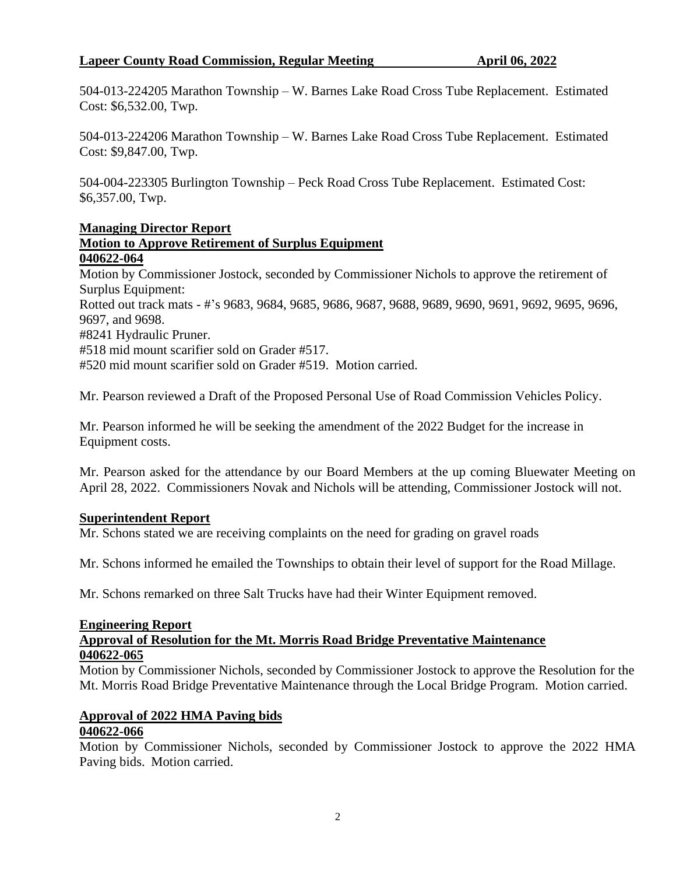## **Lapeer County Road Commission, Regular Meeting <b>April 06, 2022**

504-013-224205 Marathon Township – W. Barnes Lake Road Cross Tube Replacement. Estimated Cost: \$6,532.00, Twp.

504-013-224206 Marathon Township – W. Barnes Lake Road Cross Tube Replacement. Estimated Cost: \$9,847.00, Twp.

504-004-223305 Burlington Township – Peck Road Cross Tube Replacement. Estimated Cost: \$6,357.00, Twp.

# **Managing Director Report**

### **Motion to Approve Retirement of Surplus Equipment 040622-064**

Motion by Commissioner Jostock, seconded by Commissioner Nichols to approve the retirement of Surplus Equipment:

Rotted out track mats - #'s 9683, 9684, 9685, 9686, 9687, 9688, 9689, 9690, 9691, 9692, 9695, 9696, 9697, and 9698.

#8241 Hydraulic Pruner.

#518 mid mount scarifier sold on Grader #517.

#520 mid mount scarifier sold on Grader #519. Motion carried.

Mr. Pearson reviewed a Draft of the Proposed Personal Use of Road Commission Vehicles Policy.

Mr. Pearson informed he will be seeking the amendment of the 2022 Budget for the increase in Equipment costs.

Mr. Pearson asked for the attendance by our Board Members at the up coming Bluewater Meeting on April 28, 2022. Commissioners Novak and Nichols will be attending, Commissioner Jostock will not.

### **Superintendent Report**

Mr. Schons stated we are receiving complaints on the need for grading on gravel roads

Mr. Schons informed he emailed the Townships to obtain their level of support for the Road Millage.

Mr. Schons remarked on three Salt Trucks have had their Winter Equipment removed.

#### **Engineering Report**

#### **Approval of Resolution for the Mt. Morris Road Bridge Preventative Maintenance 040622-065**

Motion by Commissioner Nichols, seconded by Commissioner Jostock to approve the Resolution for the Mt. Morris Road Bridge Preventative Maintenance through the Local Bridge Program. Motion carried.

# **Approval of 2022 HMA Paving bids**

### **040622-066**

Motion by Commissioner Nichols, seconded by Commissioner Jostock to approve the 2022 HMA Paving bids. Motion carried.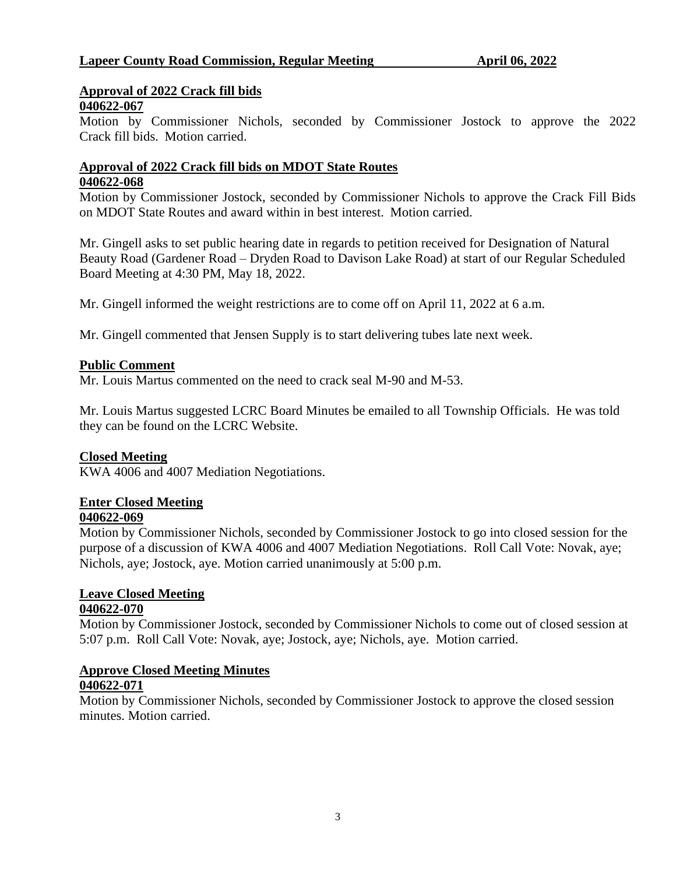# **Approval of 2022 Crack fill bids**

# **040622-067**

Motion by Commissioner Nichols, seconded by Commissioner Jostock to approve the 2022 Crack fill bids. Motion carried.

#### **Approval of 2022 Crack fill bids on MDOT State Routes 040622-068**

Motion by Commissioner Jostock, seconded by Commissioner Nichols to approve the Crack Fill Bids on MDOT State Routes and award within in best interest. Motion carried.

Mr. Gingell asks to set public hearing date in regards to petition received for Designation of Natural Beauty Road (Gardener Road – Dryden Road to Davison Lake Road) at start of our Regular Scheduled Board Meeting at 4:30 PM, May 18, 2022.

Mr. Gingell informed the weight restrictions are to come off on April 11, 2022 at 6 a.m.

Mr. Gingell commented that Jensen Supply is to start delivering tubes late next week.

# **Public Comment**

Mr. Louis Martus commented on the need to crack seal M-90 and M-53.

Mr. Louis Martus suggested LCRC Board Minutes be emailed to all Township Officials. He was told they can be found on the LCRC Website.

### **Closed Meeting**

KWA 4006 and 4007 Mediation Negotiations.

# **Enter Closed Meeting**

### **040622-069**

Motion by Commissioner Nichols, seconded by Commissioner Jostock to go into closed session for the purpose of a discussion of KWA 4006 and 4007 Mediation Negotiations. Roll Call Vote: Novak, aye; Nichols, aye; Jostock, aye. Motion carried unanimously at 5:00 p.m.

#### **Leave Closed Meeting 040622-070**

Motion by Commissioner Jostock, seconded by Commissioner Nichols to come out of closed session at 5:07 p.m. Roll Call Vote: Novak, aye; Jostock, aye; Nichols, aye. Motion carried.

#### **Approve Closed Meeting Minutes 040622-071**

Motion by Commissioner Nichols, seconded by Commissioner Jostock to approve the closed session minutes. Motion carried.